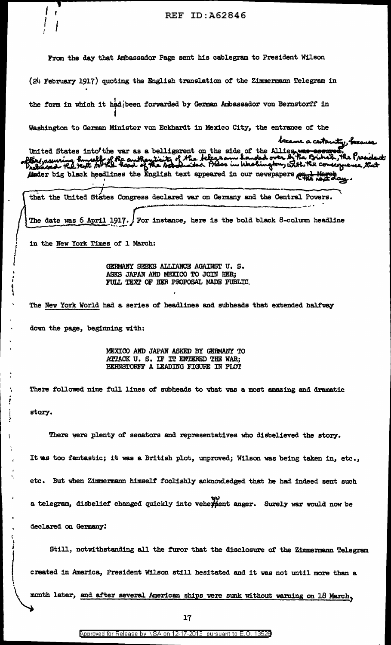$\ddot{\dot{\bm{\zeta}}}$ I <sup>r</sup>  $^{l}$ I REF ID:A62846 From the day that Ambassador Page sent his cablegram to President Wilson  $(24$  February 1917) quoting the English translation of the Zimmermann Telegram in the form in which it had been forwarded by German Ambassador von Bernstorff in j Washington to German Minister von Eckhardt in MeXico City, the entrance of the United States into the war as a belligerent on the side of the Allies, was acartamty, because<br>Tex/ assuring husself of the authenticity of the telegram handed over by the Bibbal, the President:<br>released the text to the hea junder big black headlines the English text appeared in our newspapers  $\mathcal{O}_{\mathbf{R}^+}$ . ' *. . .*  $\overbrace{\hspace{27mm}}^{2}$ that the United States Congress declared war on Germany and the Central Powers. ~~......... \_\_ .......... The date was  $6$  April 1917.  $/$  For instance, here is the bold black 8-column headline in the New York Times of 1 March: GERMANY SEEKS ALLIANCE AGAINST U.S. ASKS JAPAN AND MEXICO TO JOIN BER; FULL TEXT OF BER PROPOSAL MADE PUBLIC. The New York World had a series of' headlines and subheads that extended halfway down the page, beginning with: MEXICO AND JAPAN ASKED BY GERMANY TO ATTACK U. S. IF IT ENTERED THE WAR; BERNSTORFF A LEADING FIGURE IN PLOT There followed nine full lines of subheads to what was a most amazing and dramatic story.  $\mathbf{I}$ ( There were plenty of senators and representatives who disbelieved the story. It was too fantastic; it was a British plot, unproved; Wilson was being taken in, etc., etc. But when Zimmermann himself foolishly acknowledged that he had indeed sent such .<br>م<u>ب</u> a telegram, disbelief changed quickly into vehe $\frac{1}{2}$ ent anger. Surely war would now be declared on Gemany! Still, notwithstanding all the furor that the disclosure of the Zimmermann Telegram created in America, President Wilson still hesitated and it was not until more than a

• ~

. ,,

) .

 $\overline{\phantom{a}}$ 

'•

~

I

~ ነ<br>ነ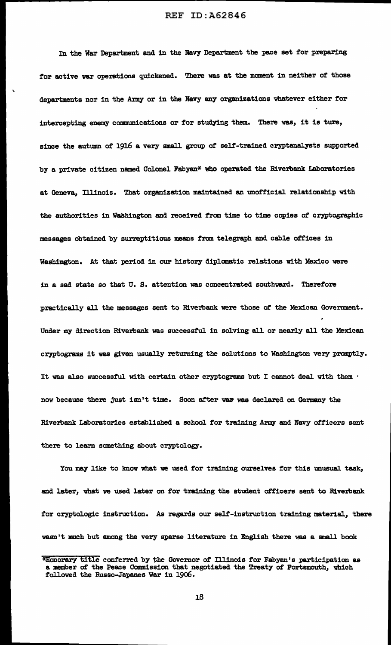In the War Department and in the Navy Department the pace set for preparing tor active war operations quickened. There was at the moment in neither *ot* those departments nor in the Army or in the Navy any organizations whatever either for intercepting enemy communications or for studying them. There was, it is ture, since the autumn of 1916 a very small group of self-trained cryptanalysts supported by a private citizen named Colonel Fabyan\* who operated the Riverbank Laboratories at Geneva, Illinois. That organization maintained an unofficial relationship with the authorities in Washington and received from time to time copies of cryptographic messages obtained by surreptitious means f'rom telegraph and cable offices in Washington. At that period in our history diplomatic relations with Mexico were in a sad state so that U. S. attention was concentrated southward. Therefore practically all the messages sent to Riverbank were those of' the Mexican Government. Under my direction Riverbank was successful in solving· all or nearly all the Mexican cryptograms it was given usually retuming the so1utions to Washington very promptly. It was also successful with certain other cryptograms but I cannot deal with them • now because there just isn't time. Soon after war was declared on Germany the Riverbank Laboratories established a school for training Army and Navy officers sent there to learn something about cryptology.

You may like to know what we used for training ourselves for this unusual task, and later, what we used later on for training the student officers sent to Riverbank for cryptologic instruction. As regards our self-instruction training material, there wasn't much but among the very sparse literature in English there was a small book

<sup>\*</sup>Honorary title conferred by the Governor of Illinois for Fabyan's participation as a member of the Peace Commission that negotiated the Treaty of Portsmouth, which followed the Russo-Japanes War in 1906.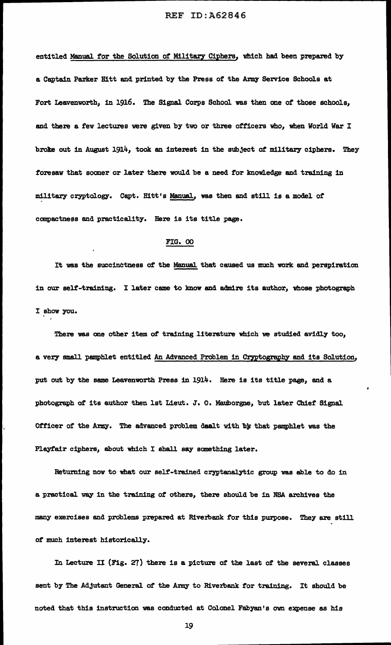entitled Manual for the Solution of Military Ciphers, which had been prepared by a Captain Parker Hitt and printed by the Press of the Army Service Schools at Fort Leavenworth, in 1916. The Signal Corps School was then one of those schools, and there a fev lectures were given by two or three officers who, when World War I broke out in August 1914, took an interest in the subject of military ciphers. They foresaw that sooner or later there would be a need for knowledge and training in military cryptology. Capt. Hitt's Manual, was then and still is a model of compactness and practicality. Here is its title page.

## FIG. 00

'

It was the succinctness of the Manual that caused us much work and perspiration in our self-training. I later came to know and admire its author, wose photograph I show you.

There was one other item of training literature which we studied avidly too, a very small pamphlet entitled An Advanced Problem in Cryptography and its Solution, put out by the same Leavenworth Press in 1914. Here is its title page, and a photograph of its author then 1st Lieut. J. O. Mauborgne, but later Chief Signal Officer of the Army. The advanced problem dealt with by that pamphlet was the Playfair ciphers, about which I shall say something later.

Retuming now to what our self-trained cryptanalytic group was able to do in a practical way in the training of others, there should be in NSA archives the many exercises and problems prepared at Riverbank for this purpose. They are still of much intereat historically.

In Lecture II (Fig. 27) there is a picture of the last of the several classes sent by The Adjutant General of the *Army* to Riverbank for training. It should be noted that this instruction was conducted at Colonel Fabyen' s own expense as his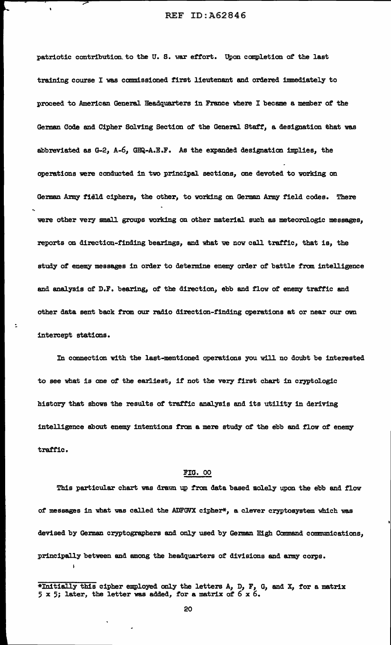patriotic contribution to the U.S. war effort. Upon completion of the last training course I was commissioned first lieutenant and ordered imnediately to proceed to American General Headquarters in France where I became a member of the German Code and Cipher Solving Section of the General Staff, a designation that was abbreviated as  $G-2$ ,  $A-6$ ,  $GHQ-A.E.F.$  As the expanded designation implies, the operations were conducted 1n two principal sections, one devoted to vorking on German Army field ciphers, the other, to working on German Army field codes. There were other very small groups working on other material such as meteorologic messages, reports on direction-finding bearings, and what we now call traffic, that is, the study of enemy messages in order to determine enemy order of battle from intelligence and analysis of D.F. bearing, of the direction, ebb and flow of enemy traffic and other data sent back from our radio direction-finding operations at or near our own intercept stations.

In connection with the last-mentioned operations you will no doubt be interested to see what is one of the earliest, if not the very first chart in cryptologic history that shows the results of traffic analysis and its utility in deriving intelligence about enemy intentions from a mere study of the ebb and flow of enemy traffic.

:.

 $\mathbf{I}$ 

## FIG. 00

This particular chart was drawn up from data based solely upon the ebb and flow of messages in what was called the ADFGVX cipher\*, a clever cryptosystem which was devised by German cryptographers and only used by German High Command communications, principally between and among the headquarters of divisions and army corps.

<sup>\*</sup>Initially this cipher employed only the letters A, D, F, G, and X, for a matrix 5 x 5; later, the letter was added, for a matrix of 6 x 6.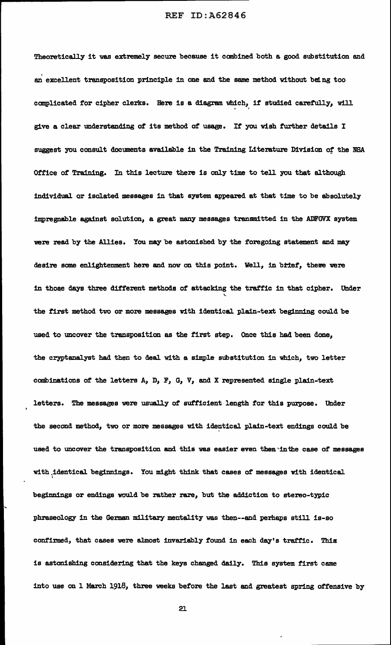Theoretically it was extremely secure because it combined both a good substitution and an excellent transposition principle in one and the same method without being too complicated for cipher clerks. Here is a diagram which, if studied carefully, will give a clear understanding of its method of usage. If' you wish further details I suggest you consult documents available in the Training Literature Division of the NSA Office of Training. In this lecture there is only time to tell you that although individual Qr isolated messages in that system appeared at that time to be absolutely impregnable against solution, a great many messages transmitted in the ADFGVX system were read by the Allies. You may be astonished by the foregoing statement and may desire some enlightenment here and now on this point. Well, in brief, there were in those days three different methods of attacking the traffic in that cipher. Under  $\,$ the first method two or more messages with identical plain-text beginning could be used to uncover the transposition as the first step. Once this had been done, the cryptanalyst had then to deal with a simple substitution in which, two letter combinations of the letters A, D, F, G, v, and X represented single plain-text letters. The messages were usually of sufficient length for this purpose. Under the second method, two or more messages with identical plain-text endings could be used to uncover the transposition and this was easier even then in the case of messages with identical beginnings. You might think that cases of messages with identical beginnings or endings would be rather rare, but the addiction to stereo-typic phraseology in the German military mentality was then--and perhaps still is-so confirmed, that cases were almost invariably found in each day's traffic. This is astonishing considering that the keys changed daily. This system first came into use on 1 March 1918, three weeks before the last and greatest spring offensive by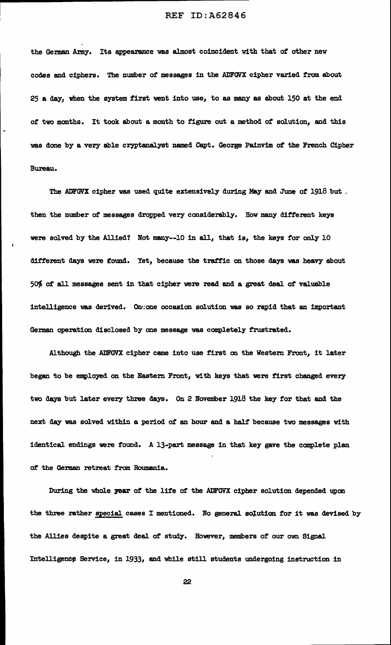the German Army. Its appearance was almost coincident with that of other new codes and ciphers. The number of messages in the ADFGVX cipher varied from about 25 a day, when the system first went into use, to as many as about 150 at the end of' two months. It took about a month to figure out a method of' solution, and this was done by a very able cryptanalyst named Capt. George Painvim of the French Cipher Bureau.

The ADFGVX cipher was used quite extensively during May and June of 1918 but. then the number of messages dropped very considerably. How many different keys were solved by the Allied? Not many--10 in all, that is, the keys for only 10 different days were found. Yet, because the traffic on those days was heavy about  $50%$  of all messages sent in that cipher were read and a great deal of valuable intelligence was derived. On one occasion solution was so rapid that an important German operation disclosed by one message was completely frustrated.

Although the ADFGVX cipher came into use first on the Western Front, it later began to be employed on the Eastern Front, with keys that were first changed every two days but later every three days. On 2 November 1918 the key for that and the next day was solved within a period of an hour and a half because two messages with identical endings were found. A 13-part message in that key gave the complete plan of the German retreat from Roumania.

During the whole year of the life of the ADFGVX cipher solution depended upon the three rather special cases I mentioned. No general solution for it was devised by the Allies despite a great deal of study. However, members of our own Signal Intelligencp Service, in 1933, and while still students undergoing instruction in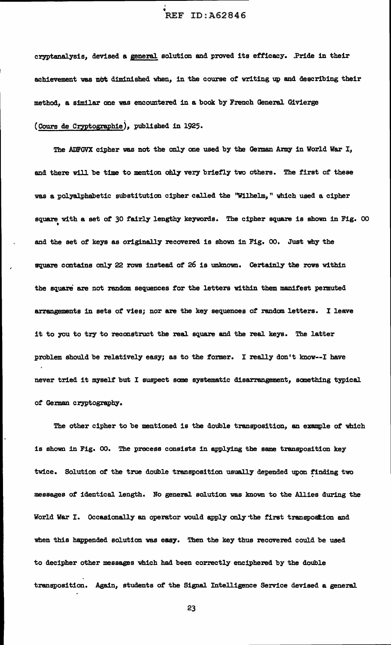## • REF ID:A62846

I

cryptanalysis, devised a general solution and proved its efficacy. .Pride in their achievement was not diminished when, in the course of writing up and describing their method, a similar one was encountered in a book by French General Givierge (Cours de Cryptographie), published in 1925.

The ADFGVX cipher was not the only one used by the German Army in World War I, and there will be time to mention only very briefly two others. The first of these was a polyalphabetic substitution cipher called the "Wilhelm," which used a cipher square vi.th a set *ot* 30 fairly lengthy keywords. The cipher square is shown in Fig. 00 • and the set of keys as originally recovered is shown in Fig. oo. Just why the square contains only 22 rows instead of 26 is unknown. Certainly the rovs within the square are not random sequences for the letters within them manifest permuted arrangements in sets of vies; nor are the key sequences of random letters. I leave it to you to try to reconstruct the real square and the real keys. The latter problem should be relatively easy; as to the former. I really don't know--I have never tried it myself but I suspect some systematic disarrangement, sanething typical of German cryptography.

The other cipher to be mentioned is the double transposition, an example of which is shown in Fig. 00. The process consists in applying the same transposition key twice. Solution of the true double transposition usually depended upon finding two messages of identical length. No general solution was known to the Allies during the World War I. Occasionally an operator would apply only the first transpostion and when this happended solution was easy. Then the key thus recovered could be used to decipher other messages which had been correctly enciphered by the double transposition. Again, students of the Signal Intelligence Service devised a general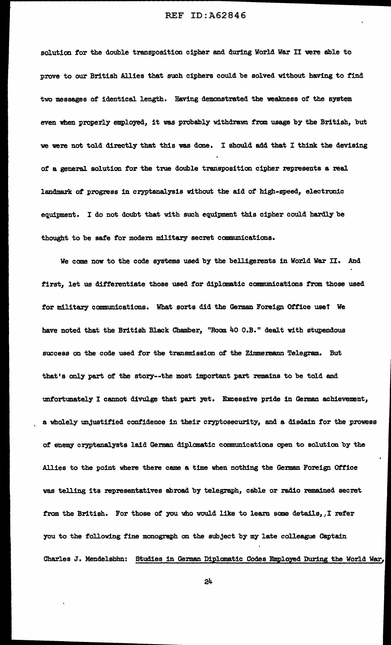solution for the double transposition cipher and during World War II were able to prove to our British Allies that such ciphers could be solved without having to f'ind two messages of identical length. Having demonstrated the weakness of the system even when properly employed, it was probably withdrawn from usage by the British, but we were not told directly that this was done. I should add that I think the devising of a general solution for the true double transposition cipher represents a real landmark of progress in cryptanalysis without the aid of high-speed, electronic equipment. I do not doubt that with such equipment this cipher could hardly be thought to be safe for modem military secret communications.

We come now to the code systems used by the belligerents in World War II. And first, let us differentiate those used for diplomatic communications from those used for military communications. What sorts did the German Foreign Office use? We have noted that the British Black Chamber, "Room 40 O.B." dealt with stupendous success on the code used for the transmission ot the Zimmermann Telegram. But that's only part of the story--the most important part remains to be told and unfortunately I cannot divulge that part yet. Excessive pride in German achievement, a wholely unjustified confidence in their cryptosecurity, and a disdain for the prowess of enemy cryptanalysts laid German diplomatic communications open to solution by the Allies to the point where there came a time when nothing the German Foreign Office was telling its representatives abroad by telegraph, cable or radio remained secret from the British. For those of you who would like to learn some details, *I* refer you to the following fine monograph on the subject by my late colleague Captain Charles J. Mendelsbhn: Studies in German Diplomatic Codes Employed During the World War,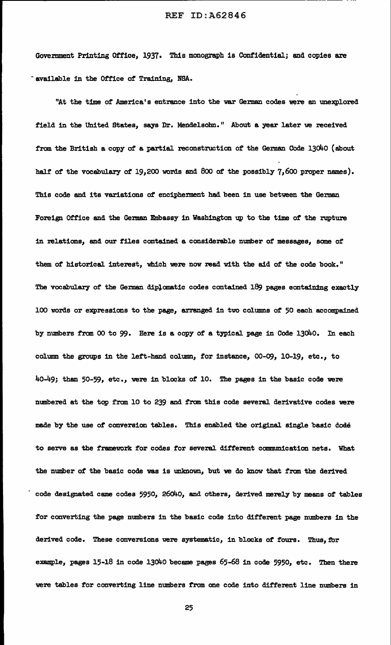Government Printing Office, 1937. This monograph is Confidential; and copies are ~available in the Office of Training, NSA.

------------------------------------------- - ---

"At the time of America's entrance into the war German codes were an unexplored field in the United States, says Dr. Mendelsohn." About a year later we received from the British a copy of a partial reconstruction of the German Code 13040 (about half of the vocabulary of 19,200 words and 800 of the possibly 7,600 proper names). This code and its variations of encipherment had been in use between the German Foreign Office and the German Embassy in Washington up to the time of the rupture in relations, and our files contained a considerable number of messages, some of them of historical interest, which were now read with the aid of the code book." The vocabulary of the German diplomatic codes contained 189 pages eontaining exactly 100 words or expressions to the page, arranged in two columns of 50 each accompained by numbers from 00 to 99. Here is a copy of a typical page in Code 13040. In each column the groups in the left-hand column, for instance, 00-09, 10-19, etc., to 40-49; than 50-59, etc., were in blocks *ot* 10. The pages in the basic code were numbered at the top from 10 to 239 and f'rom this code several derivative codes were made by the use *ot* conversion tables. This enabled the original single basic doae to serve as the framework for codes for several different communication nets. What the number of the basic code was is unknown, but we do know that from the derived code designated came codes 5950, 26040, and others, derived merely by means of tables tor converting the page numbers in the basic code into different page numbers in the derived code. These conversions were systematic, in blocks of fours. Thus, for example, pages  $15-18$  in code 13040 became pages  $65-68$  in code 5950, etc. Then there were tables tor converting line numbers from one code into different line numbers in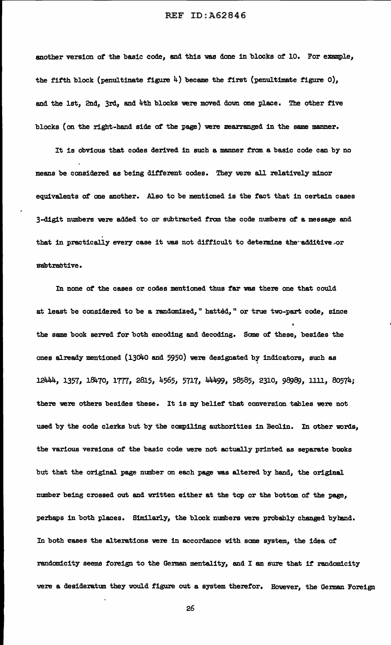another version of the basic code, and this was done in blocks of 10. For example, the fifth block (penultinate figure  $4$ ) became the first (penultimate figure  $0$ ), and the 1st, 2nd, 3rd, and 4th blocks were moved dow one place. The other five blocks (on the right-hand side of the page) were rearranged in the same manner.

It is obvious that codes derived in such a manner f'rom a basic code can by no means be considered as being different codes. They were all relatively minor equivalents of one another. Also to be mentioned is the fact that in certain cases 3-dig:Lt numbers were added to or subtracted from the code numbers of a message and that in practically every case it was not difficult to determine the additive or subtractive.

In none of the cases or codes mentioned thus far was there one that could at least be considered to be a randomized," hatted," or true two-part code, since the same book served for both encoding and decoding. Some of these, besides the ones already mentioned (13040 and 5950) were designated by indicators, such as 12444, 1357, 18470, 1777, 2815, 4565, 5717, 44499, 58585, 2310, 98989, 1111, 80574; there were others besides these. It is my belief that conversion tables were not used by the code clerks but by the compiling authorities in Beolin. In other words, the various versions of the basic code were not actually printed as separate books but that the original page number on each page was altered by hand, the original number being crossed out and witten either at the top or the bottom of the page, perhaps in both places. Similarly, the block numbers were probably changed byband. In both cases the alterations were in accordance with some system, the idea of randomicity seems foreign to the German mentality, and I am sure that if randomicity were a desideratum they would figure out a system therefor. However, the German Foreign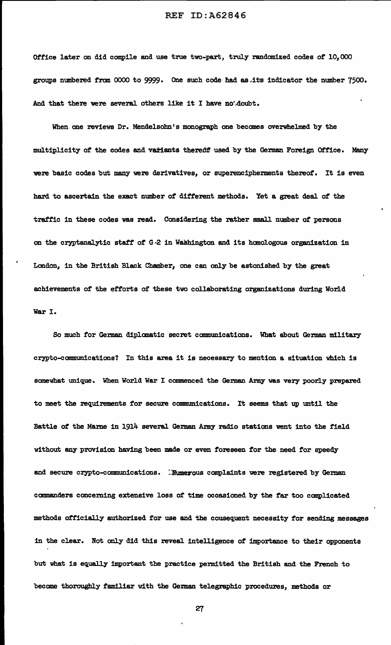Office later on did compile and use true two-part, truly randomized codes of 10,000 groups numbered from  $0000$  to  $9999$ . One such code had as its indicator the number  $7500$ . .And that there were several others like it I have no'.doubt.

When one reviews Dr. Mendelsohn's monograph one becomes overwhelmed by the multiplicity of the codes and variants thereof used by the German Foreign Office. Many were basic codes but many were derivatives, or superencipherments thereof. It is even hard to ascertain the exact number of different methods. Yet a great deal of the traffic in these codes was read. Considering the rather small number of persons on the cryptanalytic staff of G-2 in Washington and its homologous organization in London, in the British Black Chamber, one can only be astonished by the great achievements of' the efforts of these two collaborating organizations during World War I.

So much for German diplanatic secret communications. What about German military crypto-communications? In this area it is necessary to mention a situation which is somewhat unique. When World War I commenced the German Army was very poorly prepared to meet the requirements for secure communications. It seems that up until the Battle of the Marne in 1914 several German Anny radio stations went into the field without any provision having been made or even foreseen for the need for speedy and secure crypto-communications. : Numerous complaints were registered by German commanders concerning extensive loss of time occasioned by the far too complicated methods officially authorized for use and the cousequent necessity for sending messages in the clear. Not only did this reveal intelligence of importance to their opponents but what is equally important the practice pennitted the British and the French to become thoroughly familiar with the German telegraphic procedures, methods or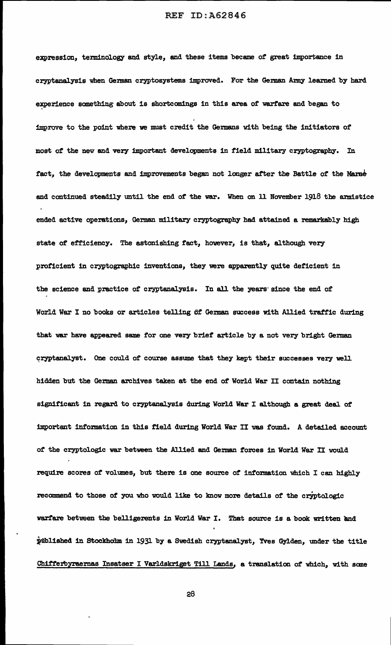expression, terminology and style, and these items became of great importance in cryptanalysis when German cryptosystems improved. For the German Army learned by hard experience something about is shortcomings in this area of warfare and began to improve to the point where we must credit the Germans with being the initiators of most *ot* the nev and very important developments in field military cryptography. In fact, the developments and improvements began not longer after the Battle of the Marne and continued steadily until the end of' the war. When on ll November 1918 the armistice ended active operations, German military cryptography had attained a remarkably high state of efficiency. The astonishing fact, however, is that, although very proficient in cryptographic inventions, they were apparently quite deficient in the science and practice of cryptanalysis. In all the years· since the end of World War I no books or articles telling of German success with Allied traffic during that war have appeared same for one very brief article by a not very bright German cryptanalyst. One could of course assume that they kept their successes very well hidden but the German archives taken at the end of World War II contain nothing significant in regard to cryptanalysis during World War I although a great deal of important information in this field during World War II was found. A detailed account of' the cryptologic war between the Allied and German forces in World War II would require scores of volumes, but there is one source of information which I can highly recommend to those of you who would like to know more details of the cryptologic warfare between the belligerents in World War I. That source is a book written and published in Stockholm in 1931 by a Swedish cryptanalyst, Yves Gylden, under the title Chifferbyraernas Insatser I Varldskriget Till Lands, a translation of which, with some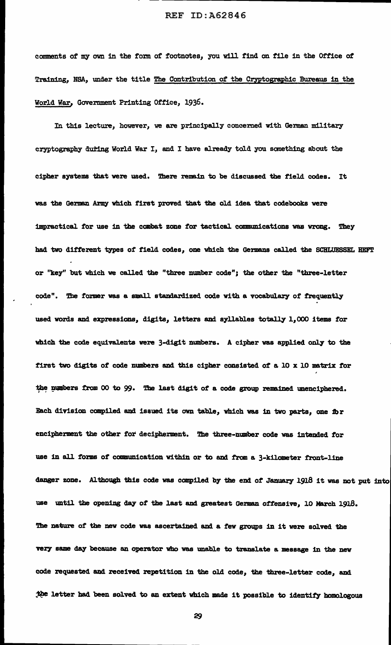comments of my own in the form of footnotes, you will find on tile in the Office *ot*  Training, NBA, under the title The Contribution of the Cryptographic Bureaus in the World War, Government Printing Office, 1936.

In this lecture, howver, we are principally concerned with German military cryptography during World War I, and I have already told you something about the cipher systems that were used. There remain to be discussed the field codes. It was the German Army which first proved that the old idea tbat codebooks were impractical for use in the combat zone for tactical communications was wrcmg. They had two different types of field codes, one which the Germans called the SCHLUESSEL HEFT or "key" but which we called the "three number code"; the other the "three-letter code". The former was a small standardized code with a vocabulary of frequently used words and expressions, digits, letters and syllables totally 1,000 items for which the code equivalents were 3-digit numbers. A cipher was applied only to the first two digits of code numbers and this cipher consisted of a  $10 \times 10$  matrix for the numbers from 00 to 99. The last digit of a code group remained unenciphered. Each division compiled and issued its own table, which was in two parts, one fbr encipherment the other for decipherment. The three-number code was intended for use in all forms of communication within or to and from a 3-kilometer front-line danger zone. Although this code was compiled by the end of January 1918 it was not put into use until the opening day of the last and greatest German offensive, 10 March 1918. The nature of the new code was ascertained and a few groups in it were solved the very same day because an operator who was unable to translate a message in the new code requested and received repetition in the old code, the three-letter code, and the letter had been solved to an extent which made it possible to identify homologous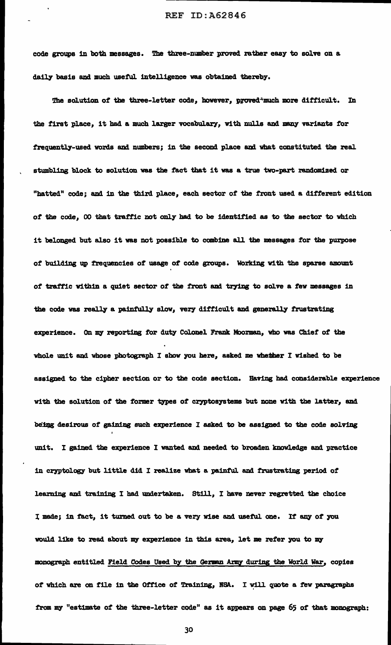code groups in both messages. The three-number proved rather easy to solve on a daily basis and much useful intelligence was obtained thereby.

The solution of the three-letter code, however, proved<sup>-much</sup> more difficult. In the first place, it had a much larger vocabulary, with nulls and many variants for frequently-used words and numbers; in the second place and what constituted the real stumbling block to solution was the fact that it was a true two-part randomized or "hatted" code; and in the third place, each sector of the front used a different edition of the code, 00 that traffic not only had to be identified as to the sector to which it belonged but also it was not possible to combine all the messages tor the purpose of building up frequencies of usage of code groups. Working Vi th the sparse amount of traffic within a quiet sector of the front and trying to solve a few messages in the code was really a painfully slow, very difficult and generally frustrating experience. On my reporting for duty Colonel Frank Moorman, who was Chief of the whole unit and whose photograph I show you here, asked me whether I wished to be assigned to the cipher section or to the code section. Having bad considerable experience with the solution of the former types of cryptosystems but none with the latter, and being desirous of gaining such experience I asked to be assigned to the code solving unit. I gained the experience I wanted and needed to broaden knowledge and practice in cryptology but little did I realize what a painful and frustrating period of learning and training I had undertaken. Still, I have never regretted the choice I made; in fact, it turned out to be a very wise and useful one. If any of you would like to read about my experience in this area, let me refer you to my monograph entitled Field Codes Used by the German Army during the World War, copies of which are on file in the Office of Training, NSA. I will quote a few paragraphs from my "estimate of the three-letter code" as it appears on page 65 of that monograph: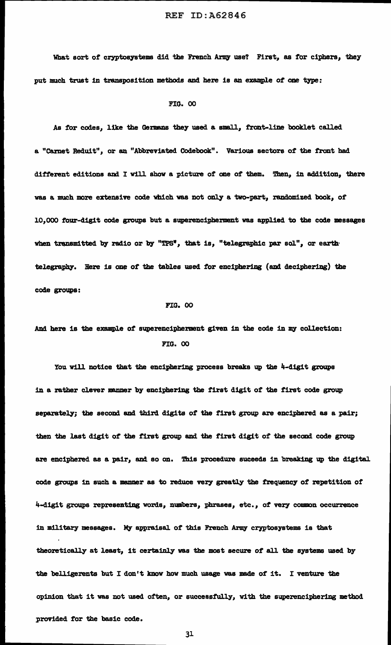What sort of cryptosystems did the French Army use? First, as for ciphers, they put much trust in transposition methods and here is an example *ot* one type:

#### FIG. 00

As for codes, like the Germans they used a small, front-line booklet called a "Carnet Reduit", or an "Abbreviated Codebook". Various sectors of the front had different editions and I will show a picture of one of them. Then, in addition, there was a much more extensive code which was not only a two-part, randomized book, of 10,000 four-digit code groups but a superencipherment was applied to the code messages when transmitted by radio or by "TPS", that is, "telegraphic par sol", or earthtelegraphy. Here is one of the tables used tor enciphering (and deciphering) the code groups:

#### FIG. 00

# And here is the example of superencipherment given in the code in my collection: FIG. 00

You will notice that the enciphering process breaks up the 4-digit groups in a rather clever manner by enciphering the first digit of the first code group separately; the second and third digits of the first group are enciphered as a pair; then the last digit of the first group and the first digit of the second code group are enciphered as a pair, and so on. This procedure suceeds in breaking up the digital code groups in such a manner as to reduce very greatly the frequency of repetition of 4-digit groups representing words, numbers, phrases, etc., of very common occurrence in military messages. My appraisal of this French Army cryptosystems is that theoretically at least, it certainly was the most secure of all the systems used by the belligerents but I don't know how much usage was made of it. I venture the opinion that it was not used often, or successfully, with the superenciphering method provided for the basic code.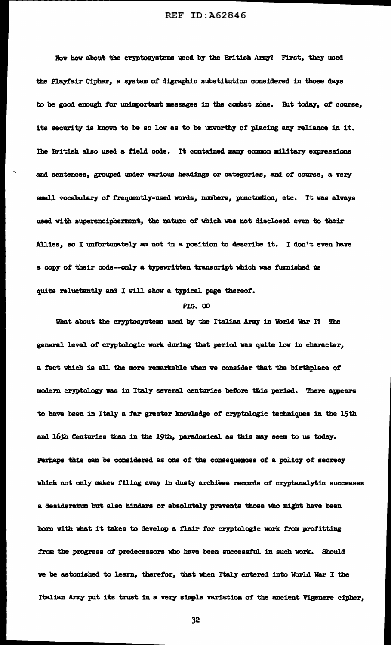Now how about the cryptosystems used by the British Army? First, they used the Playfair Cipher, a system of digraphic substitution considered in those days to be good enough for unimportant messages in the combat zone. But today, of course, its security is known to be so low as to be unworthy of placing any reliance in it. The British also used a field code. It contained many common military expressions and sentences, grouped under various headings or categories, and of course, a very small vocabulary of frequently-used words, numbers, punctustion, etc. It was always used with superencipherment, the nature of which was not disclosed even to their Allies, so I unfortunately am not in a position to describe it. I don't even have a copy of their code--only a typewritten transcript which was furnished us quite reluctantly and I will show a typical page thereof.

## FIG. 00

What about the cryptosystems used by the Italian Army in World War I? The genera1 level of cryptologic work during tbat period was quite low in character, a fact which is all the more remarkable when we consider that the birthplace of modern cryptology was in Italy several centuries before this period. There appears to have been in Italy a far greater knowledge of cryptologic techniques in the 15th and 16th Centuries than in the 19th, paradoxical as this may seem to us today. Perbaps this can be considered as one of the consequences of a policy of secrecy which not only makes filing away in dusty archives records of cryptanalytic successes a desideratum but also hinders or absolutely prevents those who might have been born with what it takes to develop a flair for cryptologic work from profitting from the progress of predecessors who have been successful in such work. Should we be astonished to learn, therefor, that when Italy entered into World War I the Italian Army put its trust in a very simple variation of the ancient Vigenere cipher,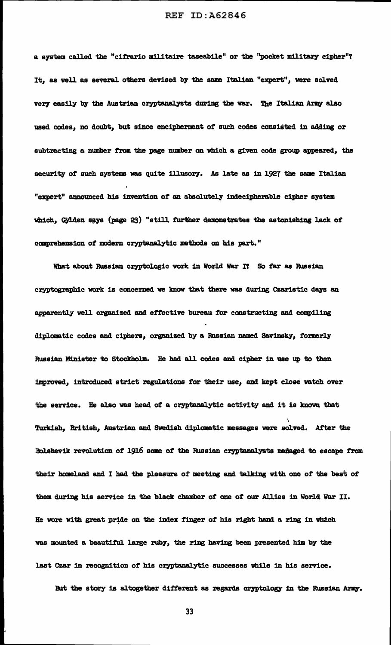a system called the "cifrario militaire taseabile" or the "pocket military cipher"? It, as well as several others devised by the same Italian "expert", were solved very easily by the Austrian cryptanalysts during the war. The Italian Army also used codes, no doubt, but since encipherment of such codes consisted in adding or subtracting a number from the page number on which a given code group appeared, the security of such systems was quite illusory. As late as 111 1927 the same Italian "expert" announced his invention of an absolutely indecipherable cipher system which, Gylden says (page 23) "still further demonstrates the astonishing lack of comprehension of modern cryptanalytic methods on his part."

What about Russian cryptologic work in World War I? So far as Russian cryptographic work is concerned we know that there was during Czaristic days an apparently well organized and effective bureau for constructing and compiling diplomatic codes and ciphers, organized by a Russian named Savinsky, formerly Russian Minister to Stockholm. He had all codes and cipher in use up to then improved, introduced strict regulations for their use, and kept close watch over the service. He also was head of a cryptanalytic activity and it is known that Turkish, British, Austrian and Swedish diplomatic messages were solved. After the Bolshevik revolution of 1916 some of the Russian cryptanalysts managed to escape from their homeland and I had the pleasure of meeting and talking with one of the best of them during his service in the black chamber of one of our Allies in World War II. He wore with great pride on the index finger of his right hand a ring in which was mounted a beautiful large ruby, the ring having been presented him by the last Czar in recognition of his cryptanalytic successes while in his service.

But the story is altogether different as regards cryptology in the Russian Army.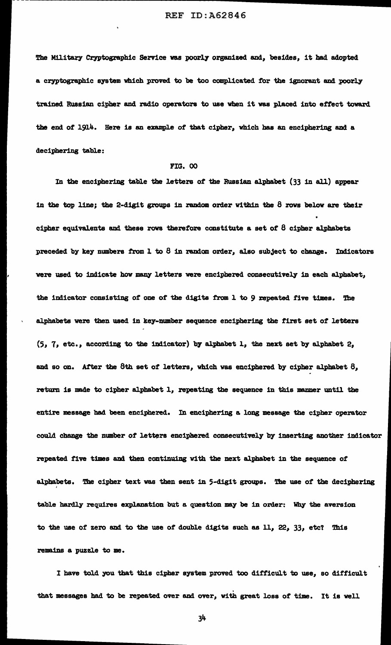The Military Cryptographic Service was poorly organized and, besides, it had adopted a cryptographic system which proved to be too complicated for the ignorant and poorly trained Russian cipher and radio operators to use when it was placed into effect toward the end of 1914. Here is an example of that cipher, which bas an enciphering and a deciphering tab1e:

#### FIG. 00

In the enciphering table the letters of the Russian alphabet (33 in all) appear in the top line; the 2-digit groups in random order within the  $8$  rows below are their cipher equivalents and these rows therefore constitute a set of  $8$  cipher alphabets preceded by key numbers from  $1$  to  $8$  in random order, also subject to change. Indicators were used to indicate how many letters were enciphered consecutively in each alphabet, the indicator consisting of one of the digits from 1 to 9 repeated five times. The alphabets were then used in key-number sequence enciphering the first set of letters  $(5, 7, etc., according to the indicator)$  by alphabet 1, the next set by alphabet 2, and so on. After the 8th set of letters, which was enciphered by cipher alphabet 8, return is made to cipher alphabet 1, repeating the sequence in this manner until the entire message bad been enciphered. In enciphering a long message the cipber operator could change the number of letters enciphered consecutively by inserting another indicator repeated five times and then continuing with the next alphabet in the sequence of alphabets. The cipher text was then sent in 5-digit groups. The use of the deciphering table hardly requires explanation but a question may be in order: Why the aversion to the use of zero and to the use of double digits such as  $11$ ,  $22$ ,  $33$ , etc? This remains a puzzle to me.

I have told you that this cipher system proved too difficult to use, so difficult that messages had to be repeated over and over, with great loss of time. It is well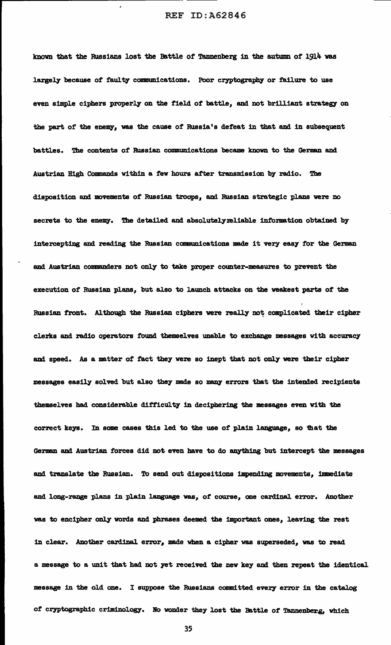known that the Russians lost the Battle of Tannenberg in the autumn of 1914 was largely because of faulty communications. Poor cryptography or failure to use even simple ciphers properly on the field of battle, and not brilliant strategy on the part of the enemy, was the cause of Russia's defeat in that and in subsequent battles. The contents of Russian communications became known to the German and Austrian High Commands within a few hours after transmission by radio. The disposition and movements of' Russian troops, and Russian strategic plans were no secrets to the enemy. The detailed and absolutelymliable information obtained by intercepting and reading the Russian communications made it very easy for the German and Austrian commanders not only to take proper counter-measures to prevent the execution of Russian plans, but also to launch attacks on the weakest parts of' the Russian front. Although the Russian ciphers were really not complicated their cipher clerks and radio operators found themselves unable to exchange messages with accuracy and speed. As a matter of fact they were so inept that not only were their cipher messages easily solved but also they made so many errors that the intended recipients themselves bad considerable difficulty in deciphering the messages even With the correct keys. In some cases this led to the use of plain language, so that the German and Austrian forces did not even have to do anything but intercept the messages and translate the Russian. To send out dispositions impending movements, immediate and long-range plans in plain language was, of course, one cardinal error. Another was to encipher only words and phrases deemed the important ones, leaving the rest in clear. Another cardinal error, made when a cipher was superseded, was to read a message to a unit that had not yet received the new key and then repeat the identical message in the old one. I suppose the Russians committed every error in the catalog of cryptographic criminology. No wonder they lost the Battle of Tannenberg, which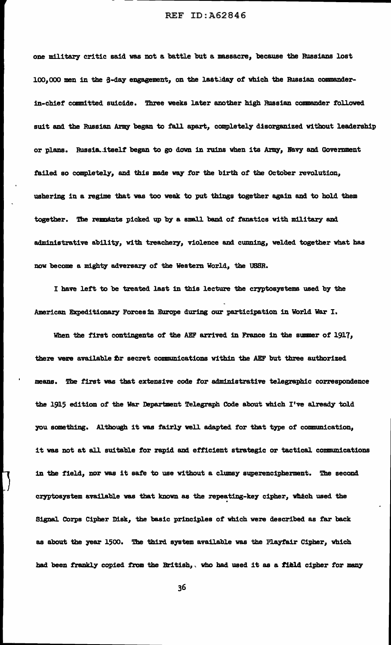one military critic said was not a battle but a massacre, because the Russians lost 100,000 men in the G-day engagement, on the lastiday of which the Russian commanderin-chief committed suicdde. Three weeks later another high Russian commander followed suit and the Russian Army began to fall apart, completely disorganized without leadership or plans. Russia.itself began to go down in ruins when its Army, Navy and Government failed so completely, and this made way for the birth of the October revolution, ushering in a regime that was too weak to put things together again and to hold them together. The remanta picked up by a small band of fanatics with military and administrative ability, with treachery, violence and cunning, welded together what has now become a mighty adversary of the Western World, the USSR.

I have left to be treated last in this lecture the cryptosystems used by the American Expeditionary Forces in Europe during our participation in World War I.

When the first contingents of the AEF arrived in France in the summer of 1917, there were available fir secret communications within the AEF but three authorized means. The first was that extensive code for administrative telegraphic correspondence the 1915 edition of the War Department Telegraph Code about which I've already told you something. Although it was fairly well adapted for that type of communication, it was not at all suitable for rapid and efficient strategic or tactical communications in the field, nor was it sate to use without a clumsy superencipherment. The second cryptosystem available was that known as the repeating-key cipher, which used the Signal Corps Cipher Disk, the basic principles of which were described as far back as about the year 1500. The third system available was the Playfair Cipher, which had been frankly copied from the British,, who had used it as a field cipher for many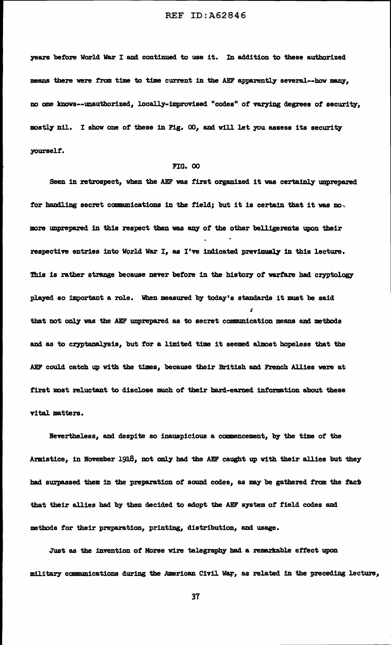years before World War I and continued to use it. In addition to these authorized means there were from time to time current in the AEF apparently several--how many, no one knovs--unautborized, locally-improvised "codes" of varying degrees of security, mostly nil. I show one of these in Fig. OO, and will let you assess its security yourself.

#### FIG. 00

Seen in retrospect, when the AEF was first organized it was certainly unprepared for handling secret communications in the field; but it is certain that it was no. more unprepared in this respect then was any of the other belligerents upon their respective entries into World War I, as I've indicated previously in this lecture. This is rather strange because never before in the history of warfare had cryptology played so important a role. When measured by today's standards it must be said  $\zeta$ that not only was the AEF unprepared as to secret communication means and methods and as to cryptanalysis, but for a limited time it seemed almost hopeless that the AEF could catch up with the times, because their British and French Allies were at first most reluctant to disclose much of their hard-earned information about these vital matters.

Nevertheless, and despite so inauspicious a commencement, by the time of the Armistice, in November 1918, not only had the AEF caught up with their allies but they had surpassed them in the preparation of sound codes, as may be gathered from the fact that their allies had by then decided to adopt the AEF system of field codes and methods for their preparation, printing, distribution, and usage.

Just as the invention of Morse wire telegraphy had a remarkable effect upon military communications during the American Civil War, as related in the preceding lecture,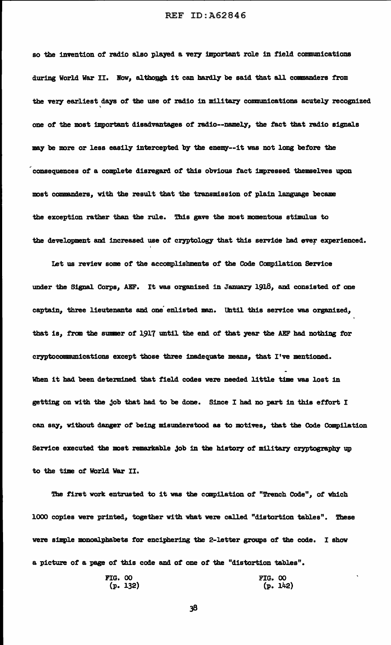so the invention of radio also played a very important role in field communications during World War II. Now, although it can hardly be said that all commanders from the very earliest days of the use of radio in military communications acutely recognized ' one of the most important disadvantages of radio--namely, the fact that radio signals may be more or less easily intercepted by the enemy--it was not long before the consequences of a complete disregard of this obvious fact impressed themselves upon most commanders, with the result that the transmission of plain language became the exception rather than the rule. This gave the most momentous stimulus to the development and increased use of cryptology that this service had ever experienced.

Let us review some of the accomplishments of the Code Canpilation Service under the Signal Corps, AEF. It was organized in January 1918, and consisted *ot* one captain, three lieutenants and one enlisted man. Until this service was organized, that is, from the summer of 1917 until the end of that year the AEF had nothing for cryptocommunications except those three inadequate means, that I've mentioned. When it had been determined that field codes were needed little time was lost in getting on with the job that had to be done. Since I had no part in this effort I can say, without danger of being misunderstood as to motives, that the Code Compilation Service executed the most remarkable job in the history of military cryptography up to the time of World War II.

Tbe first work entrusted to it was the canpilation *ot* "Trench Code", *ot* which 1000 copies were printed, together with what were called "distortion tables". These were simple monoalphabets for enciphering the 2-letter groups of the code. I show a picture of a page of' this code and of one of the "distortion tables".

FIG. 00  
(p. 132) 
$$
(p. 142)
$$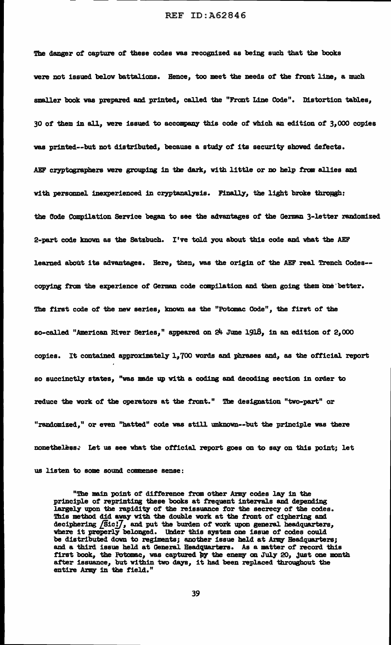The danger of capture of these codes was recognized as being such that the books were not issued below battalions. Bence, too meet the needs of the front line, a much smaller book was prepared and printed, called the "Front Line Code". Distortion tables, 30 *ot* them in all, were issued to accompany this code of which an edition of 31 *000* copies was printed--but not distributed, because a study of its security showed defects. AEF cryptographers were grouping in the dark, with little or no help from allies and with personnel inexperienced in cryptanalysis. Finally, the light broke through: the Code Compilation Service began to see the advantages of the German 3-letter randomized 2-part code known as tbe Satzbuch. I've tol.d you about this code and what the AEF learned about its advantages. Here, then, was the origin of the AEF real Trench Codes-copying from the experience of German code compilation and then going them one better. The first code of the new series, known as the "Potomac Code", the first of tbe so-called "American River Series," appeared on  $24$  June 1918, in an edition of  $2,000$ copies. It contained approximately 1,700 words and phrases and, as the official report so succinctly states, "was made up with a coding and decoding section in order to reduce the work of the operators at the front." The desigaation "two-part" or "randomized," or even "hatted" code was still unknown--but the principle was there nonetheless. Let us see what the official report goes on to say on this point; let us listen to some sound commense sense:

"The main point of difference from other *Army* codes lay in the principle of reprinting these books at frequent intervals and depending largely upon the rapidity of the reissuance for the secrecy of the codes. This method did away with the double work at the front of ciphering and deciphering  $\sqrt{S}$ ic $J$ , and put the burden of work upon general headquarters, where it preperly belonged. Under this system one issue of codes could be distributed down to regiments; another issue held at *Ariq* Headquarters; and a third issue held at General Headquarters. As a matter of record this first book, the Potomac, was captured by the enemy on July 20, just one month iffer book, the rotomac, was captured by the enemy on July 20, just one in after issuance, but within two days, it had been replaced throughout the entire Army in the field."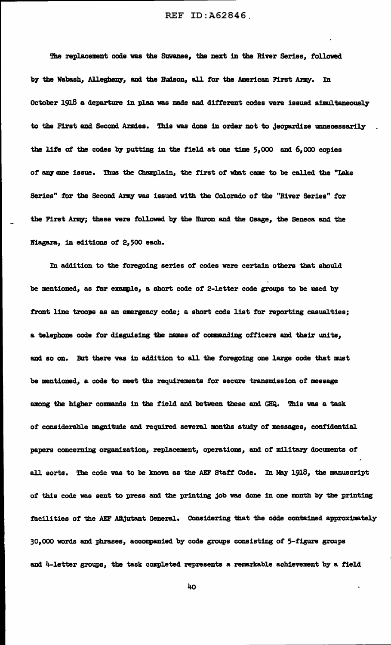The replacement code was the Suwanee, the next in the River Series, followed by the Wabash, Allegheny, and the Hudson, all for the American First Army. In October 1918 a departure in plan was made and different codes were issued simultaneously to the First and Second Armies. This was done in order not to jeopardize unnecessarily the life of the codes by putting in the field at one time  $5,000$  and  $6,000$  copies of any one issue. Thus the Champlain, the first of what came to be called the "Lake Series" for the Second Army was issued with the Colorado of the "River Series" for the First Army; these were followed by the Huron and the Osage, the Seneca and the Niagara, in editions of 2,500 each.

In addition to the foregoing series of codes were certain others that should be mentioned, as fer example, a short code of 2-letter code groups to be used by front line troops as an emergency code; a short code list for reporting casualties; a telephone code for disguising the names of' comanding officers and their units, and so on. But there was in addition to all the foregoing one large code that must be mentioned, a code to meet the requirements for secure transmission of message among the higher commands in the field and between these and GHQ. This was a task of considerable magnitude and required several months study of messages, confidential papers concerning organization, replacement, operations, and of military documents of' all sorts. The code was to be known as the AEF Staff Code. In May 1918, the manuscript of this code was sent to press and the printing job was done in one month by the printing facilities of the AEF Adjutant General. Considering that the cdde contained approximately 30,000 words and phrases, accompanied by code groups consisting of 5-figure groups and 4-letter groups, the task completed represents a remarkable achievement by a field